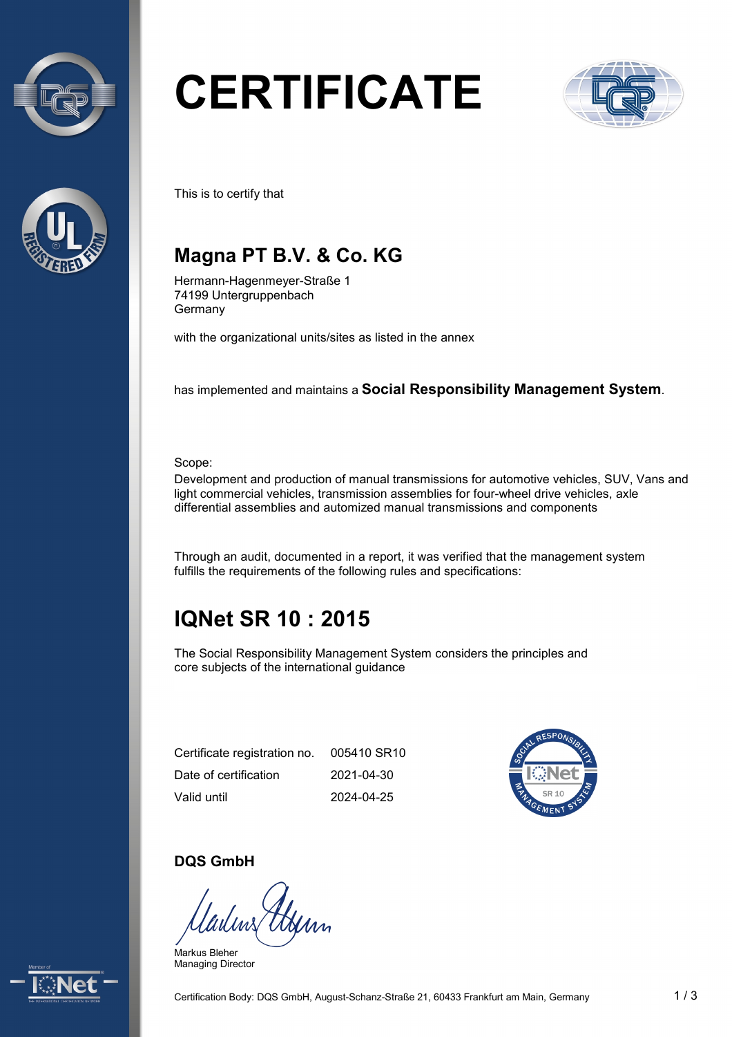



# **CERTIFICATE**



This is to certify that

## **Magna PT B.V. & Co. KG**

Hermann-Hagenmeyer-Straße 1 74199 Untergruppenbach Germany

with the organizational units/sites as listed in the annex

has implemented and maintains a **Social Responsibility Management System**.

Scope:

Development and production of manual transmissions for automotive vehicles, SUV, Vans and light commercial vehicles, transmission assemblies for four-wheel drive vehicles, axle differential assemblies and automized manual transmissions and components

Through an audit, documented in a report, it was verified that the management system fulfills the requirements of the following rules and specifications:

# **IQNet SR 10 : 2015**

The Social Responsibility Management System considers the principles and core subjects of the international guidance

Certificate registration no. Date of certification Valid until 005410 SR10 2021-04-30 2024-04-25



#### **DQS GmbH**

Markus Bleher Managing Director

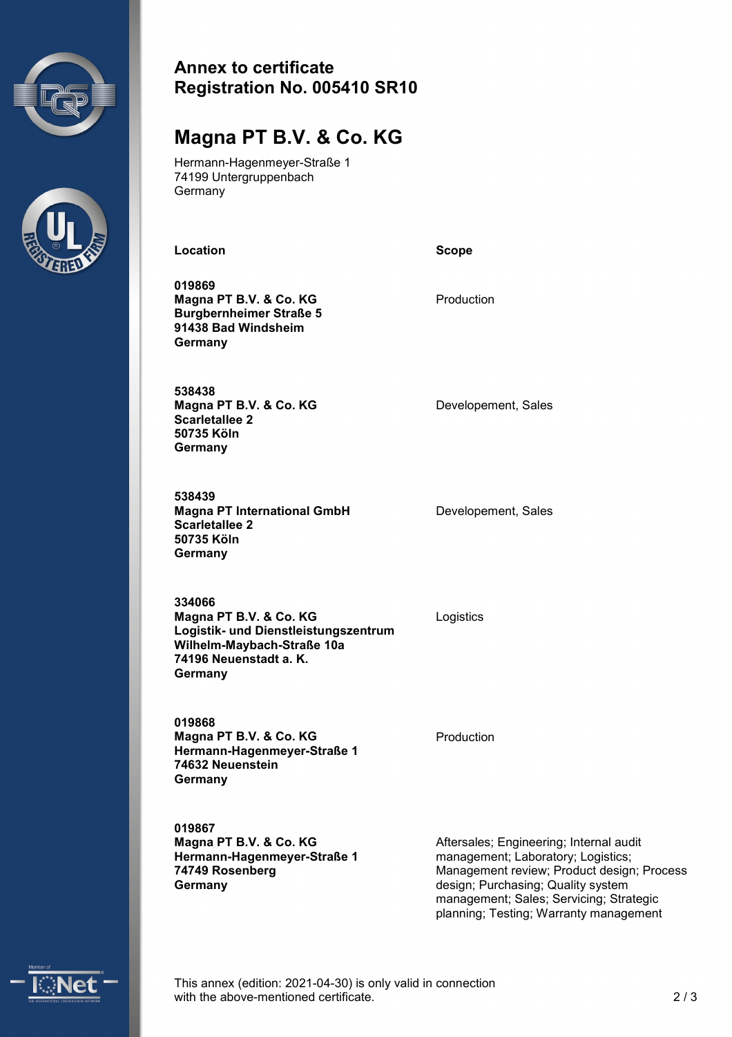



#### **Annex to certificate Registration No. 005410 SR10**

## **Magna PT B.V. & Co. KG**

Hermann-Hagenmeyer-Straße 1 74199 Untergruppenbach **Germany** 

Location **Scope Scope** 

**019869 Magna PT B.V. & Co. KG Burgbernheimer Straße 5 91438 Bad Windsheim Germany** 

Production

**538438 Magna PT B.V. & Co. KG Scarletallee 2 50735 Köln Germany** 

**538439 Magna PT International GmbH Scarletallee 2 50735 Köln Germany** 

Developement, Sales

Developement, Sales

**Logistik- und Dienstleistungszentrum Wilhelm-Maybach-Straße 10a 334066 Magna PT B.V. & Co. KG** Logistics **74196 Neuenstadt a. K. Germany** 

**019868 Magna PT B.V. & Co. KG Hermann-Hagenmeyer-Straße 1 74632 Neuenstein Germany** 

**019867 Magna PT B.V. & Co. KG Hermann-Hagenmeyer-Straße 1 74749 Rosenberg Germany** 

Production

 design; Purchasing; Quality system Aftersales; Engineering; Internal audit management; Laboratory; Logistics; Management review; Product design; Process management; Sales; Servicing; Strategic planning; Testing; Warranty management



 This annex (edition: 2021-04-30) is only valid in connection with the above-mentioned certificate. 2 / 3